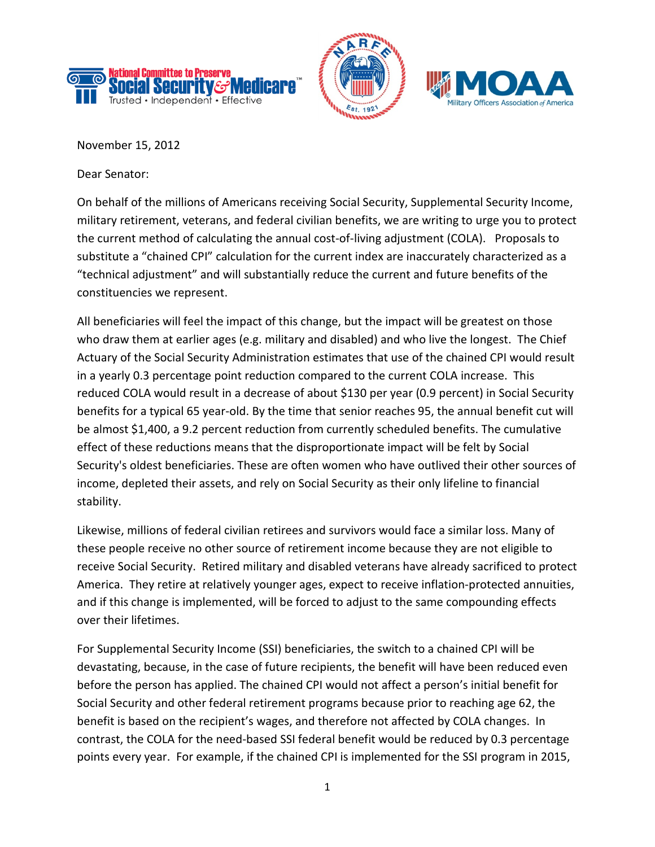





November 15, 2012

Dear Senator:

On behalf of the millions of Americans receiving Social Security, Supplemental Security Income, military retirement, veterans, and federal civilian benefits, we are writing to urge you to protect the current method of calculating the annual cost-of-living adjustment (COLA). Proposals to substitute a "chained CPI" calculation for the current index are inaccurately characterized as a "technical adjustment" and will substantially reduce the current and future benefits of the constituencies we represent.

All beneficiaries will feel the impact of this change, but the impact will be greatest on those who draw them at earlier ages (e.g. military and disabled) and who live the longest. The Chief Actuary of the Social Security Administration estimates that use of the chained CPI would result in a yearly 0.3 percentage point reduction compared to the current COLA increase. This reduced COLA would result in a decrease of about \$130 per year (0.9 percent) in Social Security benefits for a typical 65 year-old. By the time that senior reaches 95, the annual benefit cut will be almost \$1,400, a 9.2 percent reduction from currently scheduled benefits. The cumulative effect of these reductions means that the disproportionate impact will be felt by Social Security's oldest beneficiaries. These are often women who have outlived their other sources of income, depleted their assets, and rely on Social Security as their only lifeline to financial stability.

Likewise, millions of federal civilian retirees and survivors would face a similar loss. Many of these people receive no other source of retirement income because they are not eligible to receive Social Security. Retired military and disabled veterans have already sacrificed to protect America. They retire at relatively younger ages, expect to receive inflation-protected annuities, and if this change is implemented, will be forced to adjust to the same compounding effects over their lifetimes.

For Supplemental Security Income (SSI) beneficiaries, the switch to a chained CPI will be devastating, because, in the case of future recipients, the benefit will have been reduced even before the person has applied. The chained CPI would not affect a person's initial benefit for Social Security and other federal retirement programs because prior to reaching age 62, the benefit is based on the recipient's wages, and therefore not affected by COLA changes. In contrast, the COLA for the need-based SSI federal benefit would be reduced by 0.3 percentage points every year. For example, if the chained CPI is implemented for the SSI program in 2015,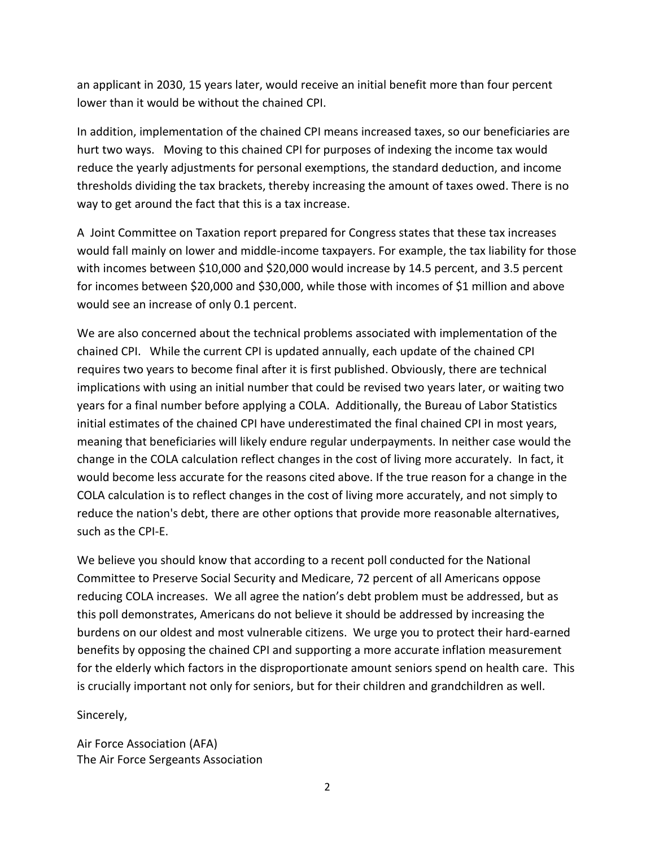an applicant in 2030, 15 years later, would receive an initial benefit more than four percent lower than it would be without the chained CPI.

In addition, implementation of the chained CPI means increased taxes, so our beneficiaries are hurt two ways. Moving to this chained CPI for purposes of indexing the income tax would reduce the yearly adjustments for personal exemptions, the standard deduction, and income thresholds dividing the tax brackets, thereby increasing the amount of taxes owed. There is no way to get around the fact that this is a tax increase.

A Joint Committee on Taxation report prepared for Congress states that these tax increases would fall mainly on lower and middle-income taxpayers. For example, the tax liability for those with incomes between \$10,000 and \$20,000 would increase by 14.5 percent, and 3.5 percent for incomes between \$20,000 and \$30,000, while those with incomes of \$1 million and above would see an increase of only 0.1 percent.

We are also concerned about the technical problems associated with implementation of the chained CPI. While the current CPI is updated annually, each update of the chained CPI requires two years to become final after it is first published. Obviously, there are technical implications with using an initial number that could be revised two years later, or waiting two years for a final number before applying a COLA. Additionally, the Bureau of Labor Statistics initial estimates of the chained CPI have underestimated the final chained CPI in most years, meaning that beneficiaries will likely endure regular underpayments. In neither case would the change in the COLA calculation reflect changes in the cost of living more accurately. In fact, it would become less accurate for the reasons cited above. If the true reason for a change in the COLA calculation is to reflect changes in the cost of living more accurately, and not simply to reduce the nation's debt, there are other options that provide more reasonable alternatives, such as the CPI-E.

We believe you should know that according to a recent poll conducted for the National Committee to Preserve Social Security and Medicare, 72 percent of all Americans oppose reducing COLA increases. We all agree the nation's debt problem must be addressed, but as this poll demonstrates, Americans do not believe it should be addressed by increasing the burdens on our oldest and most vulnerable citizens. We urge you to protect their hard-earned benefits by opposing the chained CPI and supporting a more accurate inflation measurement for the elderly which factors in the disproportionate amount seniors spend on health care. This is crucially important not only for seniors, but for their children and grandchildren as well.

Sincerely,

Air Force Association (AFA) The Air Force Sergeants Association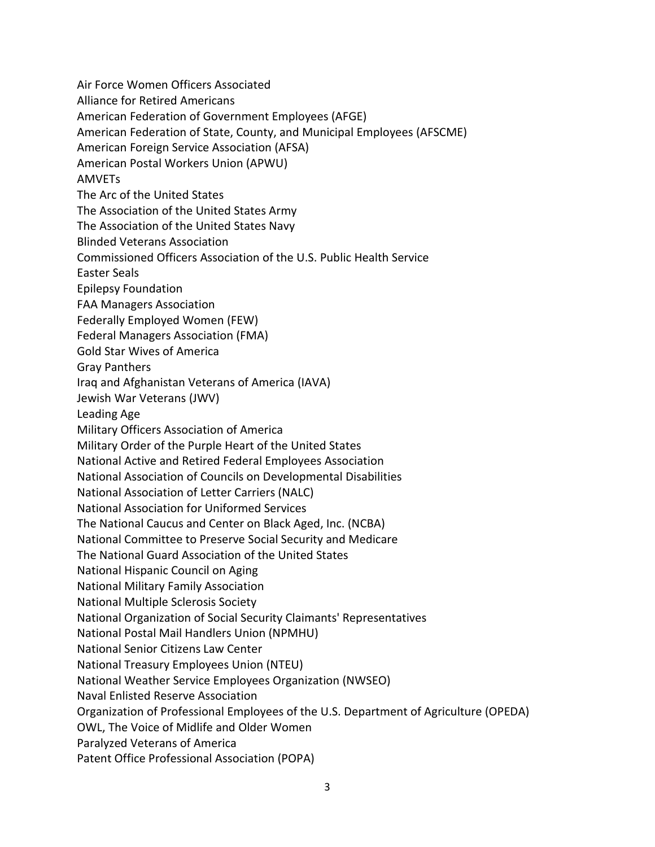Air Force Women Officers Associated

Alliance for Retired Americans

American Federation of Government Employees (AFGE)

American Federation of State, County, and Municipal Employees (AFSCME)

American Foreign Service Association (AFSA)

American Postal Workers Union (APWU)

AMVETs

The Arc of the United States

The Association of the United States Army

The Association of the United States Navy

Blinded Veterans Association

Commissioned Officers Association of the U.S. Public Health Service

Easter Seals

Epilepsy Foundation

FAA Managers Association

Federally Employed Women (FEW)

Federal Managers Association (FMA)

Gold Star Wives of America

Gray Panthers

Iraq and Afghanistan Veterans of America (IAVA)

Jewish War Veterans (JWV)

Leading Age

Military Officers Association of America

Military Order of the Purple Heart of the United States

National Active and Retired Federal Employees Association

National Association of Councils on Developmental Disabilities

National Association of Letter Carriers (NALC)

National Association for Uniformed Services

The National Caucus and Center on Black Aged, Inc. (NCBA)

National Committee to Preserve Social Security and Medicare

The National Guard Association of the United States

National Hispanic Council on Aging

National Military Family Association

National Multiple Sclerosis Society

National Organization of Social Security Claimants' Representatives

National Postal Mail Handlers Union (NPMHU)

National Senior Citizens Law Center

National Treasury Employees Union (NTEU)

National Weather Service Employees Organization (NWSEO)

Naval Enlisted Reserve Association

Organization of Professional Employees of the U.S. Department of Agriculture (OPEDA)

OWL, The Voice of Midlife and Older Women

Paralyzed Veterans of America

Patent Office Professional Association (POPA)